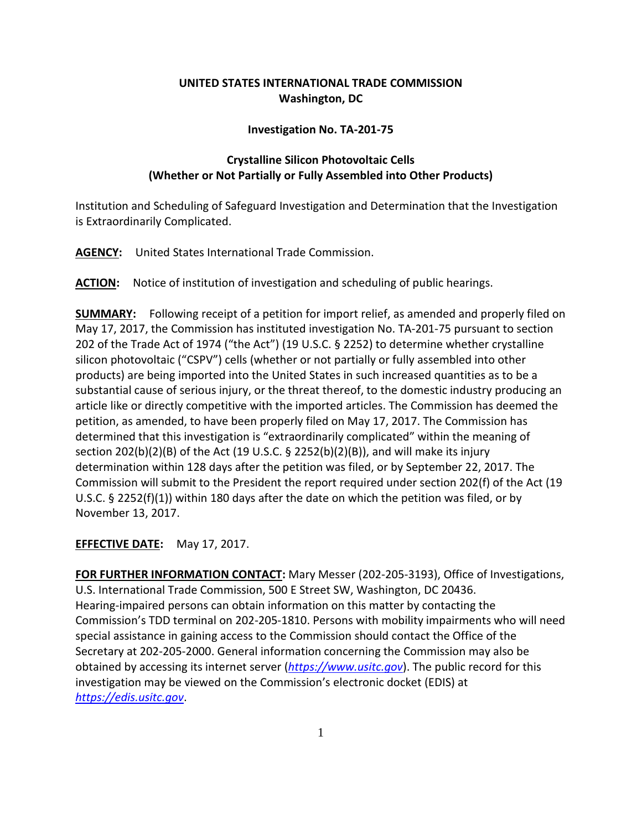## **UNITED STATES INTERNATIONAL TRADE COMMISSION Washington, DC**

## **Investigation No. TA-201-75**

## **Crystalline Silicon Photovoltaic Cells (Whether or Not Partially or Fully Assembled into Other Products)**

Institution and Scheduling of Safeguard Investigation and Determination that the Investigation is Extraordinarily Complicated.

**AGENCY:** United States International Trade Commission.

**ACTION:** Notice of institution of investigation and scheduling of public hearings.

**SUMMARY:** Following receipt of a petition for import relief, as amended and properly filed on May 17, 2017, the Commission has instituted investigation No. TA-201-75 pursuant to section 202 of the Trade Act of 1974 ("the Act") (19 U.S.C. § 2252) to determine whether crystalline silicon photovoltaic ("CSPV") cells (whether or not partially or fully assembled into other products) are being imported into the United States in such increased quantities as to be a substantial cause of serious injury, or the threat thereof, to the domestic industry producing an article like or directly competitive with the imported articles. The Commission has deemed the petition, as amended, to have been properly filed on May 17, 2017. The Commission has determined that this investigation is "extraordinarily complicated" within the meaning of section 202(b)(2)(B) of the Act (19 U.S.C. § 2252(b)(2)(B)), and will make its injury determination within 128 days after the petition was filed, or by September 22, 2017. The Commission will submit to the President the report required under section 202(f) of the Act (19 U.S.C. § 2252(f)(1)) within 180 days after the date on which the petition was filed, or by November 13, 2017.

**EFFECTIVE DATE:** May 17, 2017.

**FOR FURTHER INFORMATION CONTACT:** Mary Messer (202-205-3193), Office of Investigations, U.S. International Trade Commission, 500 E Street SW, Washington, DC 20436. Hearing-impaired persons can obtain information on this matter by contacting the Commission's TDD terminal on 202-205-1810. Persons with mobility impairments who will need special assistance in gaining access to the Commission should contact the Office of the Secretary at 202-205-2000. General information concerning the Commission may also be obtained by accessing its internet server (*[https://www.usitc.gov](https://www.usitc.gov/)*). The public record for this investigation may be viewed on the Commission's electronic docket (EDIS) at *[https://edis.usitc.gov](https://edis.usitc.gov/)*.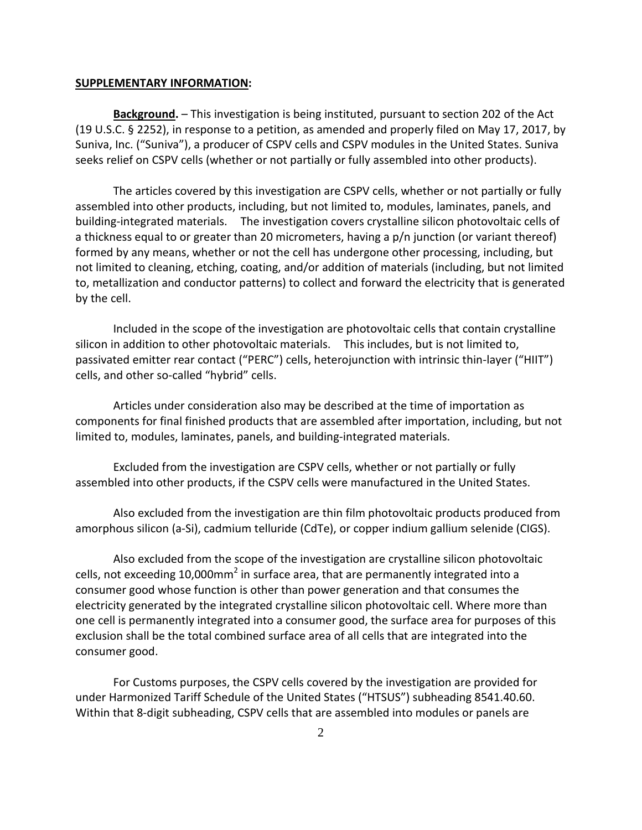## **SUPPLEMENTARY INFORMATION:**

**Background.** – This investigation is being instituted, pursuant to section 202 of the Act (19 U.S.C. § 2252), in response to a petition, as amended and properly filed on May 17, 2017, by Suniva, Inc. ("Suniva"), a producer of CSPV cells and CSPV modules in the United States. Suniva seeks relief on CSPV cells (whether or not partially or fully assembled into other products).

The articles covered by this investigation are CSPV cells, whether or not partially or fully assembled into other products, including, but not limited to, modules, laminates, panels, and building-integrated materials. The investigation covers crystalline silicon photovoltaic cells of a thickness equal to or greater than 20 micrometers, having a p/n junction (or variant thereof) formed by any means, whether or not the cell has undergone other processing, including, but not limited to cleaning, etching, coating, and/or addition of materials (including, but not limited to, metallization and conductor patterns) to collect and forward the electricity that is generated by the cell.

Included in the scope of the investigation are photovoltaic cells that contain crystalline silicon in addition to other photovoltaic materials. This includes, but is not limited to, passivated emitter rear contact ("PERC") cells, heterojunction with intrinsic thin-layer ("HIIT") cells, and other so-called "hybrid" cells.

Articles under consideration also may be described at the time of importation as components for final finished products that are assembled after importation, including, but not limited to, modules, laminates, panels, and building-integrated materials.

Excluded from the investigation are CSPV cells, whether or not partially or fully assembled into other products, if the CSPV cells were manufactured in the United States.

Also excluded from the investigation are thin film photovoltaic products produced from amorphous silicon (a-Si), cadmium telluride (CdTe), or copper indium gallium selenide (CIGS).

Also excluded from the scope of the investigation are crystalline silicon photovoltaic cells, not exceeding 10,000 $mm<sup>2</sup>$  in surface area, that are permanently integrated into a consumer good whose function is other than power generation and that consumes the electricity generated by the integrated crystalline silicon photovoltaic cell. Where more than one cell is permanently integrated into a consumer good, the surface area for purposes of this exclusion shall be the total combined surface area of all cells that are integrated into the consumer good.

For Customs purposes, the CSPV cells covered by the investigation are provided for under Harmonized Tariff Schedule of the United States ("HTSUS") subheading 8541.40.60. Within that 8-digit subheading, CSPV cells that are assembled into modules or panels are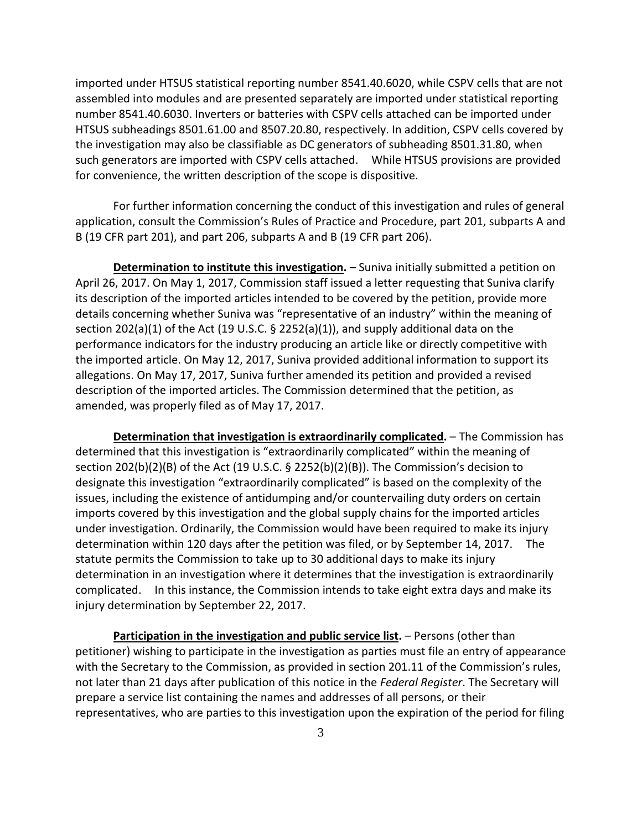imported under HTSUS statistical reporting number 8541.40.6020, while CSPV cells that are not assembled into modules and are presented separately are imported under statistical reporting number 8541.40.6030. Inverters or batteries with CSPV cells attached can be imported under HTSUS subheadings 8501.61.00 and 8507.20.80, respectively. In addition, CSPV cells covered by the investigation may also be classifiable as DC generators of subheading 8501.31.80, when such generators are imported with CSPV cells attached. While HTSUS provisions are provided for convenience, the written description of the scope is dispositive.

For further information concerning the conduct of this investigation and rules of general application, consult the Commission's Rules of Practice and Procedure, part 201, subparts A and B (19 CFR part 201), and part 206, subparts A and B (19 CFR part 206).

**Determination to institute this investigation.** – Suniva initially submitted a petition on April 26, 2017. On May 1, 2017, Commission staff issued a letter requesting that Suniva clarify its description of the imported articles intended to be covered by the petition, provide more details concerning whether Suniva was "representative of an industry" within the meaning of section 202(a)(1) of the Act (19 U.S.C. § 2252(a)(1)), and supply additional data on the performance indicators for the industry producing an article like or directly competitive with the imported article. On May 12, 2017, Suniva provided additional information to support its allegations. On May 17, 2017, Suniva further amended its petition and provided a revised description of the imported articles. The Commission determined that the petition, as amended, was properly filed as of May 17, 2017.

**Determination that investigation is extraordinarily complicated.** – The Commission has determined that this investigation is "extraordinarily complicated" within the meaning of section 202(b)(2)(B) of the Act (19 U.S.C. § 2252(b)(2)(B)). The Commission's decision to designate this investigation "extraordinarily complicated" is based on the complexity of the issues, including the existence of antidumping and/or countervailing duty orders on certain imports covered by this investigation and the global supply chains for the imported articles under investigation. Ordinarily, the Commission would have been required to make its injury determination within 120 days after the petition was filed, or by September 14, 2017. The statute permits the Commission to take up to 30 additional days to make its injury determination in an investigation where it determines that the investigation is extraordinarily complicated. In this instance, the Commission intends to take eight extra days and make its injury determination by September 22, 2017.

**Participation in the investigation and public service list.** – Persons (other than petitioner) wishing to participate in the investigation as parties must file an entry of appearance with the Secretary to the Commission, as provided in section 201.11 of the Commission's rules, not later than 21 days after publication of this notice in the *Federal Register*. The Secretary will prepare a service list containing the names and addresses of all persons, or their representatives, who are parties to this investigation upon the expiration of the period for filing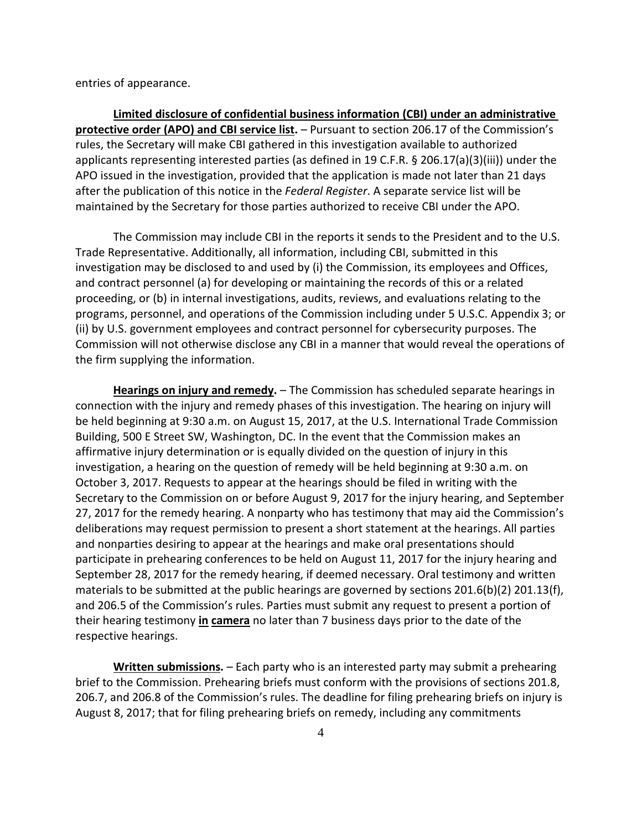entries of appearance.

**Limited disclosure of confidential business information (CBI) under an administrative protective order (APO) and CBI service list.** – Pursuant to section 206.17 of the Commission's rules, the Secretary will make CBI gathered in this investigation available to authorized applicants representing interested parties (as defined in 19 C.F.R. § 206.17(a)(3)(iii)) under the APO issued in the investigation, provided that the application is made not later than 21 days after the publication of this notice in the *Federal Register*. A separate service list will be maintained by the Secretary for those parties authorized to receive CBI under the APO.

The Commission may include CBI in the reports it sends to the President and to the U.S. Trade Representative. Additionally, all information, including CBI, submitted in this investigation may be disclosed to and used by (i) the Commission, its employees and Offices, and contract personnel (a) for developing or maintaining the records of this or a related proceeding, or (b) in internal investigations, audits, reviews, and evaluations relating to the programs, personnel, and operations of the Commission including under 5 U.S.C. Appendix 3; or (ii) by U.S. government employees and contract personnel for cybersecurity purposes. The Commission will not otherwise disclose any CBI in a manner that would reveal the operations of the firm supplying the information.

**Hearings on injury and remedy.** – The Commission has scheduled separate hearings in connection with the injury and remedy phases of this investigation. The hearing on injury will be held beginning at 9:30 a.m. on August 15, 2017, at the U.S. International Trade Commission Building, 500 E Street SW, Washington, DC. In the event that the Commission makes an affirmative injury determination or is equally divided on the question of injury in this investigation, a hearing on the question of remedy will be held beginning at 9:30 a.m. on October 3, 2017. Requests to appear at the hearings should be filed in writing with the Secretary to the Commission on or before August 9, 2017 for the injury hearing, and September 27, 2017 for the remedy hearing. A nonparty who has testimony that may aid the Commission's deliberations may request permission to present a short statement at the hearings. All parties and nonparties desiring to appear at the hearings and make oral presentations should participate in prehearing conferences to be held on August 11, 2017 for the injury hearing and September 28, 2017 for the remedy hearing, if deemed necessary. Oral testimony and written materials to be submitted at the public hearings are governed by sections 201.6(b)(2) 201.13(f), and 206.5 of the Commission's rules. Parties must submit any request to present a portion of their hearing testimony **in camera** no later than 7 business days prior to the date of the respective hearings.

**Written submissions.** – Each party who is an interested party may submit a prehearing brief to the Commission. Prehearing briefs must conform with the provisions of sections 201.8, 206.7, and 206.8 of the Commission's rules. The deadline for filing prehearing briefs on injury is August 8, 2017; that for filing prehearing briefs on remedy, including any commitments